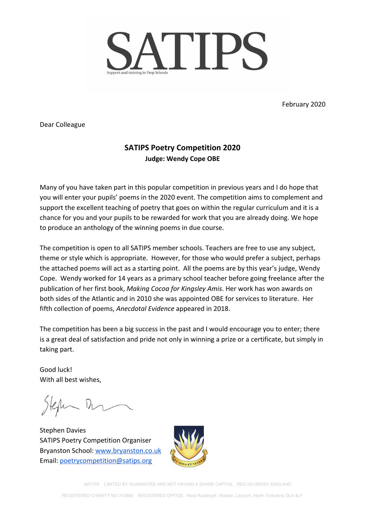

February 2020

Dear Colleague

# **SATIPS Poetry Competition 2020 Judge: Wendy Cope OBE**

Many of you have taken part in this popular competition in previous years and I do hope that you will enter your pupils' poems in the 2020 event. The competition aims to complement and support the excellent teaching of poetry that goes on within the regular curriculum and it is a chance for you and your pupils to be rewarded for work that you are already doing. We hope to produce an anthology of the winning poems in due course.

The competition is open to all SATIPS member schools. Teachers are free to use any subject, theme or style which is appropriate. However, for those who would prefer a subject, perhaps the attached poems will act as a starting point. All the poems are by this year's judge, Wendy Cope. Wendy worked for 14 years as a primary school teacher before going freelance after the publication of her first book, *Making Cocoa for Kingsley Amis*. Her work has won awards on both sides of the Atlantic and in 2010 she was appointed OBE for services to literature. Her fifth collection of poems, *Anecdotal Evidence* appeared in 2018.

The competition has been a big success in the past and I would encourage you to enter; there is a great deal of satisfaction and pride not only in winning a prize or a certificate, but simply in taking part.

Good luck! With all best wishes,

Heft Th

Stephen Davies SATIPS Poetry Competition Organiser Bryanston School: [www.bryanston.co.uk](http://www.bryanston.co.uk/) Email: [poetrycompetition@satips.org](mailto:poetrycompetition@satips.org)



SATIPS LIMITED BY GUARANTEE AND NOT HAVING A SHARE CAPITAL REG NO 890301 ENGLAND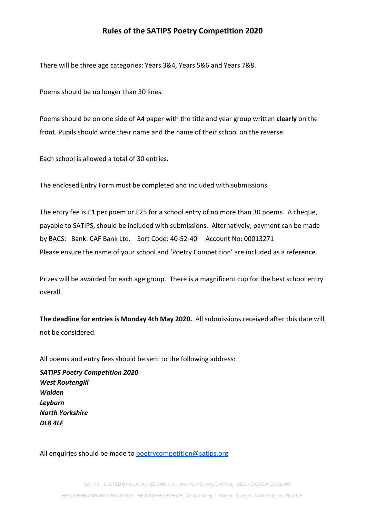### **Rules of the SATIPS Poetry Competition 2020**

There will be three age categories: Years 3&4, Years 5&6 and Years 7&8.

Poems should be no longer than 30 lines.

Poems should be on one side of A4 paper with the title and year group written **clearly** on the front. Pupils should write their name and the name of their school on the reverse.

Each school is allowed a total of 30 entries.

The enclosed Entry Form must be completed and included with submissions.

The entry fee is £1 per poem or £25 for a school entry of no more than 30 poems. A cheque, payable to SATIPS, should be included with submissions. Alternatively, payment can be made by BACS: Bank: CAF Bank Ltd. Sort Code: 40-52-40 Account No: 00013271 Please ensure the name of your school and 'Poetry Competition' are included as a reference.

Prizes will be awarded for each age group. There is a magnificent cup for the best school entry overall.

**The deadline for entries is Monday 4th May 2020.** All submissions received after this date will not be considered.

All poems and entry fees should be sent to the following address:

*SATIPS Poetry Competition 2020 West Routengill Walden Leyburn North Yorkshire DL8 4LF*

All enquiries should be made to [poetrycompetition@satips.org](mailto:poetrycompetition@satips.org)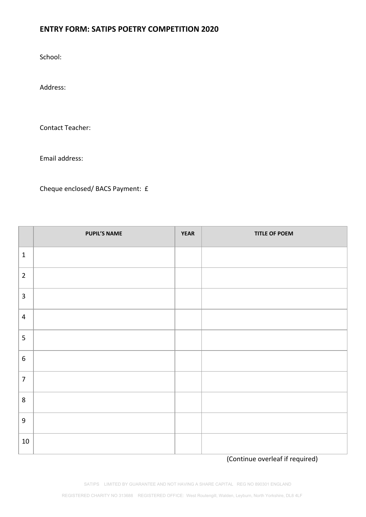## **ENTRY FORM: SATIPS POETRY COMPETITION 2020**

School:

Address:

Contact Teacher:

Email address:

Cheque enclosed/ BACS Payment: £

|                  | <b>PUPIL'S NAME</b> | <b>YEAR</b> | <b>TITLE OF POEM</b> |
|------------------|---------------------|-------------|----------------------|
| $1\,$            |                     |             |                      |
| $\overline{2}$   |                     |             |                      |
| $\overline{3}$   |                     |             |                      |
| 4                |                     |             |                      |
| 5                |                     |             |                      |
| $\boldsymbol{6}$ |                     |             |                      |
| $\overline{7}$   |                     |             |                      |
| $\,8\,$          |                     |             |                      |
| $\boldsymbol{9}$ |                     |             |                      |
| 10               |                     |             |                      |

(Continue overleaf if required)

SATIPS LIMITED BY GUARANTEE AND NOT HAVING A SHARE CAPITAL REG NO 890301 ENGLAND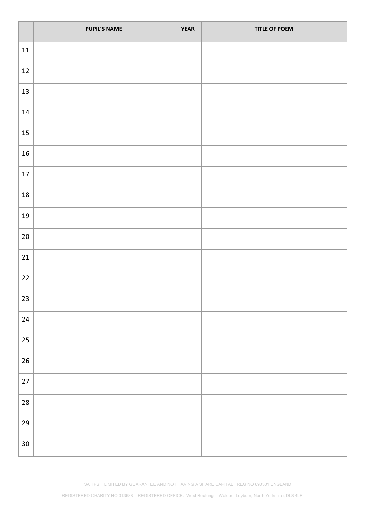|        | <b>PUPIL'S NAME</b> | <b>YEAR</b> | <b>TITLE OF POEM</b> |
|--------|---------------------|-------------|----------------------|
| 11     |                     |             |                      |
| 12     |                     |             |                      |
| 13     |                     |             |                      |
| $14\,$ |                     |             |                      |
| $15\,$ |                     |             |                      |
| $16\,$ |                     |             |                      |
| 17     |                     |             |                      |
| 18     |                     |             |                      |
| 19     |                     |             |                      |
| $20\,$ |                     |             |                      |
| 21     |                     |             |                      |
| 22     |                     |             |                      |
| 23     |                     |             |                      |
| $24\,$ |                     |             |                      |
| 25     |                     |             |                      |
| 26     |                     |             |                      |
| $27$   |                     |             |                      |
| 28     |                     |             |                      |
| 29     |                     |             |                      |
| $30\,$ |                     |             |                      |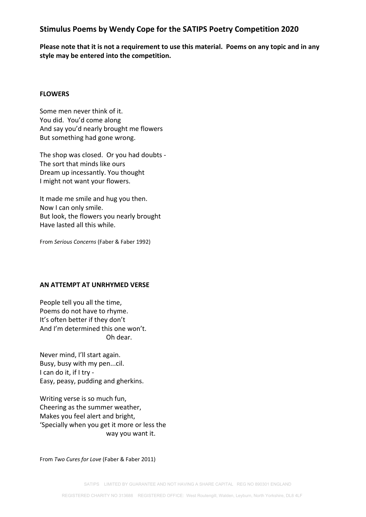### **Stimulus Poems by Wendy Cope for the SATIPS Poetry Competition 2020**

**Please note that it is not a requirement to use this material. Poems on any topic and in any style may be entered into the competition.**

#### **FLOWERS**

Some men never think of it. You did. You'd come along And say you'd nearly brought me flowers But something had gone wrong.

The shop was closed. Or you had doubts - The sort that minds like ours Dream up incessantly. You thought I might not want your flowers.

It made me smile and hug you then. Now I can only smile. But look, the flowers you nearly brought Have lasted all this while.

From *Serious Concerns* (Faber & Faber 1992)

#### **AN ATTEMPT AT UNRHYMED VERSE**

People tell you all the time, Poems do not have to rhyme. It's often better if they don't And I'm determined this one won't. Oh dear.

Never mind, I'll start again. Busy, busy with my pen...cil. I can do it, if I try - Easy, peasy, pudding and gherkins.

Writing verse is so much fun, Cheering as the summer weather, Makes you feel alert and bright, 'Specially when you get it more or less the way you want it.

From *Two Cures for Love* (Faber & Faber 2011)